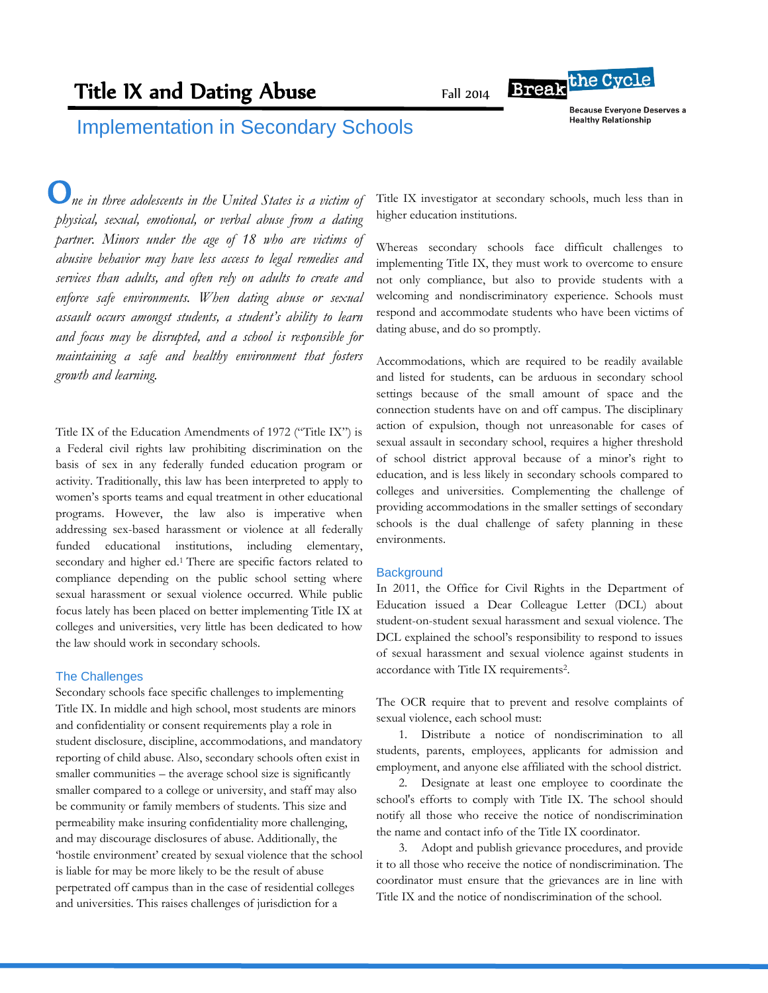# Title IX and Dating Abuse

Fall 2014

**Because Everyone Deserves a Healthy Relationship** 

**Break**<sup>the Cycle</sup>

## Implementation in Secondary Schools

 *ne in three adolescents in the United States is a victim of*  O *physical, sexual, emotional, or verbal abuse from a dating partner. Minors under the age of 18 who are victims of abusive behavior may have less access to legal remedies and services than adults, and often rely on adults to create and enforce safe environments. When dating abuse or sexual assault occurs amongst students, a student's ability to learn and focus may be disrupted, and a school is responsible for maintaining a safe and healthy environment that fosters growth and learning.* 

Title IX of the Education Amendments of 1972 ("Title IX") is a Federal civil rights law prohibiting discrimination on the basis of sex in any federally funded education program or activity. Traditionally, this law has been interpreted to apply to women's sports teams and equal treatment in other educational programs. However, the law also is imperative when addressing sex-based harassment or violence at all federally funded educational institutions, including elementary, secondary and higher ed.<sup>1</sup> There are specific factors related to compliance depending on the public school setting where sexual harassment or sexual violence occurred. While public focus lately has been placed on better implementing Title IX at colleges and universities, very little has been dedicated to how the law should work in secondary schools.

#### The Challenges

Secondary schools face specific challenges to implementing Title IX. In middle and high school, most students are minors and confidentiality or consent requirements play a role in student disclosure, discipline, accommodations, and mandatory reporting of child abuse. Also, secondary schools often exist in smaller communities – the average school size is significantly smaller compared to a college or university, and staff may also be community or family members of students. This size and permeability make insuring confidentiality more challenging, and may discourage disclosures of abuse. Additionally, the 'hostile environment' created by sexual violence that the school is liable for may be more likely to be the result of abuse perpetrated off campus than in the case of residential colleges and universities. This raises challenges of jurisdiction for a

Title IX investigator at secondary schools, much less than in higher education institutions.

Whereas secondary schools face difficult challenges to implementing Title IX, they must work to overcome to ensure not only compliance, but also to provide students with a welcoming and nondiscriminatory experience. Schools must respond and accommodate students who have been victims of dating abuse, and do so promptly.

Accommodations, which are required to be readily available and listed for students, can be arduous in secondary school settings because of the small amount of space and the connection students have on and off campus. The disciplinary action of expulsion, though not unreasonable for cases of sexual assault in secondary school, requires a higher threshold of school district approval because of a minor's right to education, and is less likely in secondary schools compared to colleges and universities. Complementing the challenge of providing accommodations in the smaller settings of secondary schools is the dual challenge of safety planning in these environments.

### **Background**

In 2011, the Office for Civil Rights in the Department of Education issued a Dear Colleague Letter (DCL) about student-on-student sexual harassment and sexual violence. The DCL explained the school's responsibility to respond to issues of sexual harassment and sexual violence against students in accordance with Title IX requirements<sup>2</sup>.

The OCR require that to prevent and resolve complaints of sexual violence, each school must:

1. Distribute a notice of nondiscrimination to all students, parents, employees, applicants for admission and employment, and anyone else affiliated with the school district.

2. Designate at least one employee to coordinate the school's efforts to comply with Title IX. The school should notify all those who receive the notice of nondiscrimination the name and contact info of the Title IX coordinator.

3. Adopt and publish grievance procedures, and provide it to all those who receive the notice of nondiscrimination. The coordinator must ensure that the grievances are in line with Title IX and the notice of nondiscrimination of the school.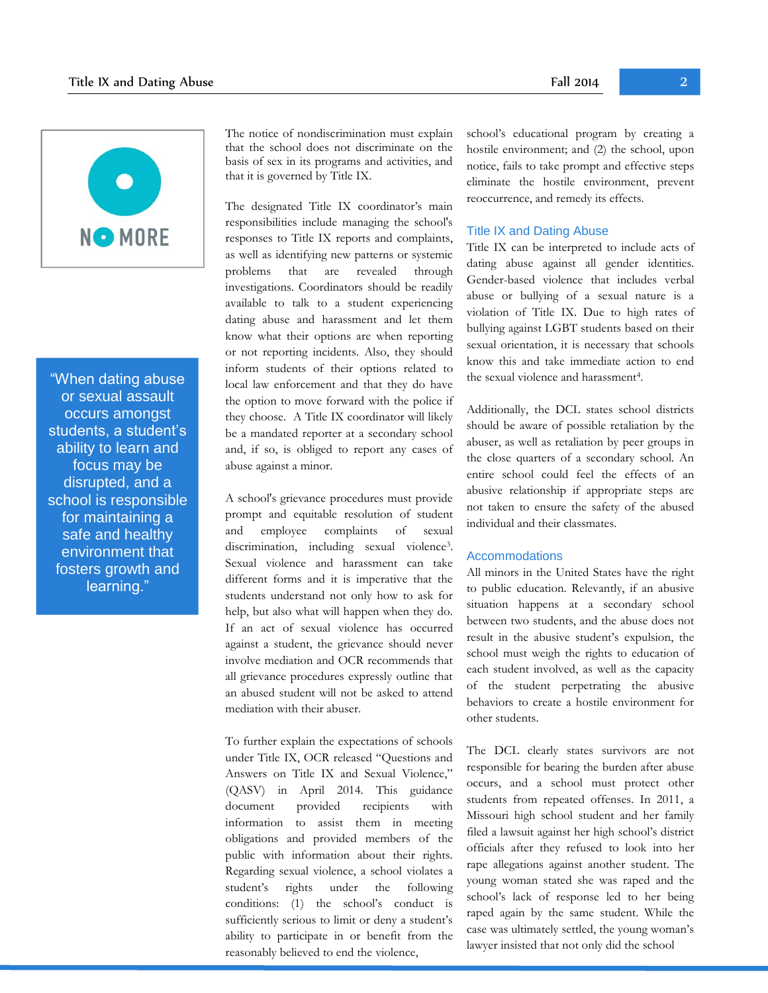

"When dating abuse or sexual assault occurs amongst students, a student's ability to learn and focus may be disrupted, and a school is responsible for maintaining a safe and healthy environment that fosters growth and learning."

The notice of nondiscrimination must explain that the school does not discriminate on the basis of sex in its programs and activities, and that it is governed by Title IX.

The designated Title IX coordinator's main responsibilities include managing the school's responses to Title IX reports and complaints, as well as identifying new patterns or systemic problems that are revealed through investigations. Coordinators should be readily available to talk to a student experiencing dating abuse and harassment and let them know what their options are when reporting or not reporting incidents. Also, they should inform students of their options related to local law enforcement and that they do have the option to move forward with the police if they choose. A Title IX coordinator will likely be a mandated reporter at a secondary school and, if so, is obliged to report any cases of abuse against a minor.

A school's grievance procedures must provide prompt and equitable resolution of student and employee complaints of sexual discrimination, including sexual violence<sup>3</sup>. Sexual violence and harassment can take different forms and it is imperative that the students understand not only how to ask for help, but also what will happen when they do. If an act of sexual violence has occurred against a student, the grievance should never involve mediation and OCR recommends that all grievance procedures expressly outline that an abused student will not be asked to attend mediation with their abuser.

To further explain the expectations of schools under Title IX, OCR released "Questions and Answers on Title IX and Sexual Violence," (QASV) in April 2014. This guidance document provided recipients with information to assist them in meeting obligations and provided members of the public with information about their rights. Regarding sexual violence, a school violates a student's rights under the following conditions: (1) the school's conduct is sufficiently serious to limit or deny a student's ability to participate in or benefit from the reasonably believed to end the violence,

school's educational program by creating a hostile environment; and (2) the school, upon notice, fails to take prompt and effective steps eliminate the hostile environment, prevent reoccurrence, and remedy its effects.

### Title IX and Dating Abuse

Title IX can be interpreted to include acts of dating abuse against all gender identities. Gender-based violence that includes verbal abuse or bullying of a sexual nature is a violation of Title IX. Due to high rates of bullying against LGBT students based on their sexual orientation, it is necessary that schools know this and take immediate action to end the sexual violence and harassment<sup>4</sup>.

Additionally, the DCL states school districts should be aware of possible retaliation by the abuser, as well as retaliation by peer groups in the close quarters of a secondary school. An entire school could feel the effects of an abusive relationship if appropriate steps are not taken to ensure the safety of the abused individual and their classmates.

### **Accommodations**

All minors in the United States have the right to public education. Relevantly, if an abusive situation happens at a secondary school between two students, and the abuse does not result in the abusive student's expulsion, the school must weigh the rights to education of each student involved, as well as the capacity of the student perpetrating the abusive behaviors to create a hostile environment for other students.

The DCL clearly states survivors are not responsible for bearing the burden after abuse occurs, and a school must protect other students from repeated offenses. In 2011, a Missouri high school student and her family filed a lawsuit against her high school's district officials after they refused to look into her rape allegations against another student. The young woman stated she was raped and the school's lack of response led to her being raped again by the same student. While the case was ultimately settled, the young woman's lawyer insisted that not only did the school